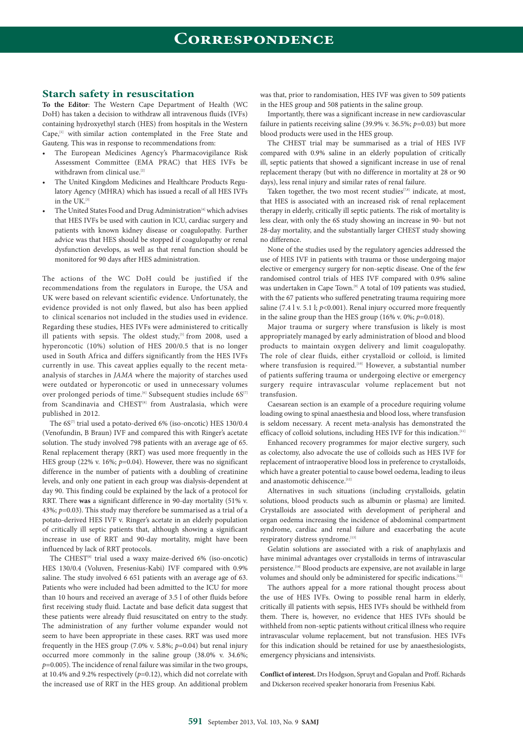## **Starch safety in resuscitation**

**To the Editor**: The Western Cape Department of Health (WC DoH) has taken a decision to withdraw all intravenous fluids (IVFs) containing hydroxyethyl starch (HES) from hospitals in the Western Cape,<sup>[1]</sup> with similar action contemplated in the Free State and Gauteng. This was in response to recommendations from:

- The European Medicines Agency's Pharmacovigilance Risk Assessment Committee (EMA PRAC) that HES IVFs be withdrawn from clinical use.<sup>[2]</sup>
- The United Kingdom Medicines and Healthcare Products Regulatory Agency (MHRA) which has issued a recall of all HES IVFs in the UK. $^{[3]}$
- The United States Food and Drug Administration<sup>[4]</sup> which advises that HES IVFs be used with caution in ICU, cardiac surgery and patients with known kidney disease or coagulopathy. Further advice was that HES should be stopped if coagulopathy or renal dysfunction develops, as well as that renal function should be monitored for 90 days after HES administration.

The actions of the WC DoH could be justified if the recommendations from the regulators in Europe, the USA and UK were based on relevant scientific evidence. Unfortunately, the evidence provided is not only flawed, but also has been applied to clinical scenarios not included in the studies used in evidence. Regarding these studies, HES IVFs were administered to critically ill patients with sepsis. The oldest study,  $[5]$  from 2008, used a hyperoncotic (10%) solution of HES 200/0.5 that is no longer used in South Africa and differs significantly from the HES IVFs currently in use. This caveat applies equally to the recent metaanalysis of starches in *JAMA* where the majority of starches used were outdated or hyperoncotic or used in unnecessary volumes over prolonged periods of time.<sup>[6]</sup> Subsequent studies include 6S<sup>[7]</sup> from Scandinavia and CHEST<sup>[8]</sup> from Australasia, which were published in 2012.

The 6S<sup>[7]</sup> trial used a potato-derived 6% (iso-oncotic) HES 130/0.4 (Venofundin, B Braun) IVF and compared this with Ringer's acetate solution. The study involved 798 patients with an average age of 65. Renal replacement therapy (RRT) was used more frequently in the HES group (22% v. 16%; *p*=0.04). However, there was no significant difference in the number of patients with a doubling of creatinine levels, and only one patient in each group was dialysis-dependent at day 90. This finding could be explained by the lack of a protocol for RRT. There **was** a significant difference in 90-day mortality (51% v. 43%; *p*=0.03). This study may therefore be summarised as a trial of a potato-derived HES IVF v. Ringer's acetate in an elderly population of critically ill septic patients that, although showing a significant increase in use of RRT and 90-day mortality, might have been influenced by lack of RRT protocols.

The CHEST<sup>[8]</sup> trial used a waxy maize-derived 6% (iso-oncotic) HES 130/0.4 (Voluven, Fresenius-Kabi) IVF compared with 0.9% saline. The study involved 6 651 patients with an average age of 63. Patients who were included had been admitted to the ICU for more than 10 hours and received an average of 3.5 l of other fluids before first receiving study fluid. Lactate and base deficit data suggest that these patients were already fluid resuscitated on entry to the study. The administration of any further volume expander would not seem to have been appropriate in these cases. RRT was used more frequently in the HES group (7.0% v. 5.8%; *p*=0.04) but renal injury occurred more commonly in the saline group (38.0% v. 34.6%; *p*=0.005). The incidence of renal failure was similar in the two groups, at 10.4% and 9.2% respectively (*p*=0.12), which did not correlate with the increased use of RRT in the HES group. An additional problem

was that, prior to randomisation, HES IVF was given to 509 patients in the HES group and 508 patients in the saline group.

Importantly, there was a significant increase in new cardiovascular failure in patients receiving saline (39.9% v. 36.5%; *p*=0.03) but more blood products were used in the HES group.

The CHEST trial may be summarised as a trial of HES IVF compared with 0.9% saline in an elderly population of critically ill, septic patients that showed a significant increase in use of renal replacement therapy (but with no difference in mortality at 28 or 90 days), less renal injury and similar rates of renal failure.

Taken together, the two most recent studies<sup>[7,8]</sup> indicate, at most, that HES is associated with an increased risk of renal replacement therapy in elderly, critically ill septic patients. The risk of mortality is less clear, with only the 6S study showing an increase in 90- but not 28-day mortality, and the substantially larger CHEST study showing no difference.

None of the studies used by the regulatory agencies addressed the use of HES IVF in patients with trauma or those undergoing major elective or emergency surgery for non-septic disease. One of the few randomised control trials of HES IVF compared with 0.9% saline was undertaken in Cape Town.<sup>[9]</sup> A total of 109 patients was studied, with the 67 patients who suffered penetrating trauma requiring more saline (7.4 l v. 5.1 l;  $p$ <0.001). Renal injury occurred more frequently in the saline group than the HES group (16% v. 0%; *p*=0.018).

Major trauma or surgery where transfusion is likely is most appropriately managed by early administration of blood and blood products to maintain oxygen delivery and limit coagulopathy. The role of clear fluids, either crystalloid or colloid, is limited where transfusion is required.<sup>[10]</sup> However, a substantial number of patients suffering trauma or undergoing elective or emergency surgery require intravascular volume replacement but not transfusion.

Caesarean section is an example of a procedure requiring volume loading owing to spinal anaesthesia and blood loss, where transfusion is seldom necessary. A recent meta-analysis has demonstrated the efficacy of colloid solutions, including HES IVF for this indication.<sup>[11]</sup>

Enhanced recovery programmes for major elective surgery, such as colectomy, also advocate the use of colloids such as HES IVF for replacement of intraoperative blood loss in preference to crystalloids, which have a greater potential to cause bowel oedema, leading to ileus and an<br>astomotic dehiscence.  $\hspace{0.1em}^{[12]}$ 

Alternatives in such situations (including crystalloids, gelatin solutions, blood products such as albumin or plasma) are limited. Crystalloids are associated with development of peripheral and organ oedema increasing the incidence of abdominal compartment syndrome, cardiac and renal failure and exacerbating the acute respiratory distress syndrome.<sup>[13]</sup>

Gelatin solutions are associated with a risk of anaphylaxis and have minimal advantages over crystalloids in terms of intravascular persistence.[14] Blood products are expensive, are not available in large volumes and should only be administered for specific indications.<sup>[15]</sup>

The authors appeal for a more rational thought process about the use of HES IVFs. Owing to possible renal harm in elderly, critically ill patients with sepsis, HES IVFs should be withheld from them. There is, however, no evidence that HES IVFs should be withheld from non-septic patients without critical illness who require intravascular volume replacement, but not transfusion. HES IVFs for this indication should be retained for use by anaesthesiologists, emergency physicians and intensivists.

**Conflict of interest.** Drs Hodgson, Spruyt and Gopalan and Proff. Richards and Dickerson received speaker honoraria from Fresenius Kabi.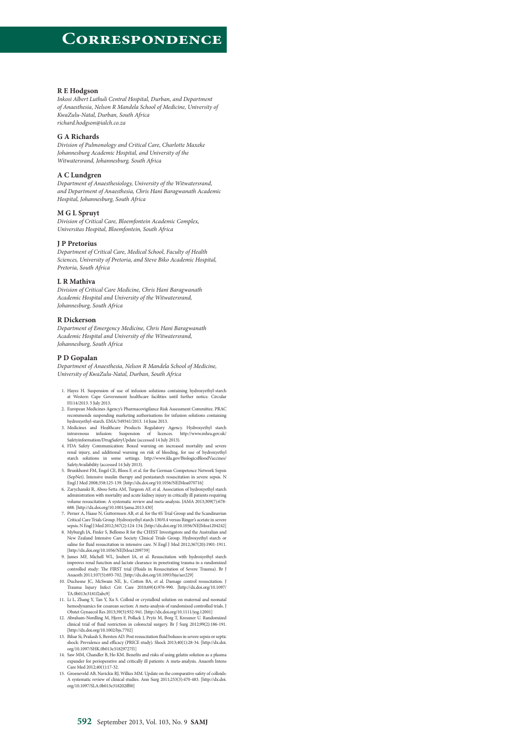### **R E Hodgson**

*Inkosi Albert Luthuli Central Hospital, Durban, and Department of Anaesthesia, Nelson R Mandela School of Medicine, University of KwaZulu-Natal, Durban, South Africa [richard.hodgson@ialch.co.za](mailto:richard.hodgson@ialch.co.za)*

### **G A Richards**

*Division of Pulmonology and Critical Care, Charlotte Maxeke Johannesburg Academic Hospital, and University of the Witwatersrand, Johannesburg, South Africa*

### **A C Lundgren**

*Department of Anaesthesiology, University of the Witwatersrand, and Department of Anaesthesia, Chris Hani Baragwanath Academic Hospital, Johannesburg, South Africa*

### **M G L Spruyt**

*Division of Critical Care, Bloemfontein Academic Complex, Universitas Hospital, Bloemfontein, South Africa*

### **J P Pretorius**

*Department of Critical Care, Medical School, Faculty of Health Sciences, University of Pretoria, and Steve Biko Academic Hospital, Pretoria, South Africa*

### **L R Mathiva**

*Division of Critical Care Medicine, Chris Hani Baragwanath Academic Hospital and University of the Witwatersrand, Johannesburg, South Africa*

### **R Dickerson**

*Department of Emergency Medicine, Chris Hani Baragwanath Academic Hospital and University of the Witwatersrand, Johannesburg, South Africa*

### **P D Gopalan**

*Department of Anaesthesia, Nelson R Mandela School of Medicine, University of KwaZulu-Natal, Durban, South Africa*

- 1. Hayes H. Suspension of use of infusion solutions containing hydroxyethyl-starch at Western Cape Government healthcare facilities until further notice. Circular H114/2013. 5 July 2013.
- 2. European Medicines Agency's Pharmacovigilance Risk Assessment Committee. PRAC recommends suspending marketing authorisations for infusion solutions containing hydroxyethyl-starch. EMA/349341/2013. 14 June 2013.
- 3. Medicines and Healthcare Products Regulatory Agency. Hydroxyethyl starch intravenous infusion: Suspension of licences. [http://www.mhra.gov.uk/](http://www.mhra.gov.uk/Safetyinformation/DrugSafetyUpdate)<br>[Safetyinformation/DrugSafetyUpdate \(ac](http://www.mhra.gov.uk/Safetyinformation/DrugSafetyUpdate)cessed 14 July 2013).<br>4. FDA Safety Co
- renal injury, and additional warning on risk of bleeding, for use of hydroxyethyl starch solutions in some settings. [http://www.fda.gov/BiologicsBloodVaccines/](http://www.fda.gov/BiologicsBloodVaccines/SafetyAvailability) [SafetyAvailability \(ac](http://www.fda.gov/BiologicsBloodVaccines/SafetyAvailability)cessed 14 July 2013).
- 5. Brunkhorst FM, Engel CE, Bloos F, et al. for the German Competence Network Sepsis (SepNet). Intensive insulin therapy and pentastarch resuscitation in severe sepsis. N Engl J Med 2008;358:125-139. [\[http://dx.doi.org/10.1056/NEJMoa070716\]](http://dx.doi.org/10.1056/NEJMoa070716])
- 6. Zarychanski R, Abou-Setta AM, Turgeon AF, et al. Association of hydroxyethyl starch administration with mortality and acute kidney injury in critically ill patients requiring volume resuscitation: A systematic review and meta-analysis. JAMA 2013;309(7):678-688. [\[http://dx.doi.org/10.1001/jama.2013.430\]](http://dx.doi.org/10.1001/jama.2013.430])
- 7. Perner A, Haase N, Guttormsen AB, et al. for the 6S Trial Group and the Scandinavian Critical Care Trials Group. Hydroxyethyl starch 130/0.4 versus Ringer's acetate in severe
- sepsis. N Engl J Med 2012;367(2):124-134. [[http://dx.doi.org/10.1056/NEJMoa1204242\]](http://dx.doi.org/10.1056/NEJMoa1204242]) 8. Myburgh JA, Finfer S, Bellomo R for the CHEST Investigators and the Australian and New Zealand Intensive Care Society Clinical Trials Group. Hydroxyethyl starch or saline for fluid resuscitation in intensive care. N Engl J Med 2012;367(20):1901-1911. [\[http://dx.doi.org/10.1056/NEJMoa1209759\]](http://dx.doi.org/10.1056/NEJMoa1209759])
- 9. James MF, Michell WL, Joubert IA, et al. Resuscitation with hydroxyethyl starch improves renal function and lactate clearance in penetrating trauma in a randomized<br>controlled study: The FIRST trial (Fluids in Resuscitation of Severe Trauma). Br J<br>Anaesth 2011;107(5):693-702. [http://dx.doi.org/10.1093
- Trauma Injury Infect Crit Care 2010;69(4):976-990. [[http://dx.doi.org/10.1097/](http://dx.doi.org/10.1097/TA.0b013e3181f2abc9]) [TA.0b013e3181f2abc9\]](http://dx.doi.org/10.1097/TA.0b013e3181f2abc9])
- 11. Li L, Zhang Y, Tan Y, Xu S. Colloid or crystalloid solution on maternal and neonatal hemodynamics for cesarean section: A meta-analysis of randomized controlled trials. J Obstet Gynaecol Res 2013;39(5):932-941. [[http://dx.doi.org/10.1111/jog.12001\]](http://dx.doi.org/10.1111/jog.12001])
- 12. Abraham-Nordling M, Hjern F, Pollack J, Prytz M, Borg T, Kressner U. Randomized clinical trial of fluid restriction in colorectal surgery. Br J Surg 2012;99(2):186-191. [\[http://dx.doi.org/10.1002/bjs.7702\]](http://dx.doi.org/10.1002/bjs.7702])
- 13. Bihar Si, Prakash S, Bersten AD. Post resuscitation fluid boluses in severe sepsis or septic shock: Prevalence and efficacy (PRICE study). Shock 2013;40(1):28-34. [\[http://dx.doi.](http://dx.doi.org/10.1097/SHK.0b013e31829727f1]) [org/10.1097/SHK.0b013e31829727f1\]](http://dx.doi.org/10.1097/SHK.0b013e31829727f1])
- 14. Saw MM, Chandler B, Ho KM. Benefits and risks of using gelatin solution as a plasma expander for perioperative and critically ill patients: A meta-analysis. Anaesth Intens Care Med 2012;40(1):17-32.
- 15. Groeneveld AB, Navickis RJ, Wilkes MM. Update on the comparative safety of colloids: A systematic review of clinical studies. Ann Surg 2011;253(3):470-483. [\[http://dx.doi.](http://dx.doi.org/10.1097/SLA.0b013e318202ff00]) [org/10.1097/SLA.0b013e318202ff00\]](http://dx.doi.org/10.1097/SLA.0b013e318202ff00])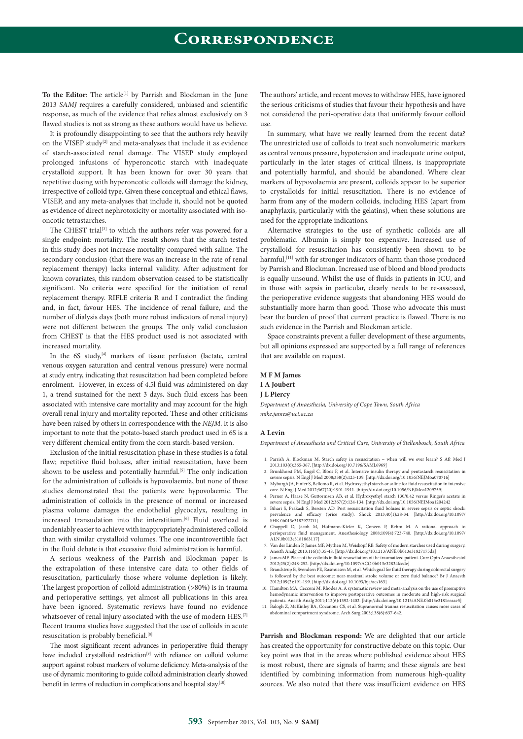To the Editor: The article<sup>[1]</sup> by Parrish and Blockman in the June 2013 *SAMJ* requires a carefully considered, unbiased and scientific response, as much of the evidence that relies almost exclusively on 3 flawed studies is not as strong as these authors would have us believe.

It is profoundly disappointing to see that the authors rely heavily on the VISEP study<sup>[2]</sup> and meta-analyses that include it as evidence of starch-associated renal damage. The VISEP study employed prolonged infusions of hyperoncotic starch with inadequate crystalloid support. It has been known for over 30 years that repetitive dosing with hyperoncotic colloids will damage the kidney, irrespective of colloid type. Given these conceptual and ethical flaws, VISEP, and any meta-analyses that include it, should not be quoted as evidence of direct nephrotoxicity or mortality associated with isooncotic tetrastarches.

The CHEST trial<sup>[3]</sup> to which the authors refer was powered for a single endpoint: mortality. The result shows that the starch tested in this study does not increase mortality compared with saline. The secondary conclusion (that there was an increase in the rate of renal replacement therapy) lacks internal validity. After adjustment for known covariates, this random observation ceased to be statistically significant. No criteria were specified for the initiation of renal replacement therapy. RIFLE criteria R and I contradict the finding and, in fact, favour HES. The incidence of renal failure, and the number of dialysis days (both more robust indicators of renal injury) were not different between the groups. The only valid conclusion from CHEST is that the HES product used is not associated with increased mortality.

In the 6S study,<sup>[4]</sup> markers of tissue perfusion (lactate, central venous oxygen saturation and central venous pressure) were normal at study entry, indicating that resuscitation had been completed before enrolment. However, in excess of 4.5l fluid was administered on day 1, a trend sustained for the next 3 days. Such fluid excess has been associated with intensive care mortality and may account for the high overall renal injury and mortality reported. These and other criticisms have been raised by others in correspondence with the *NEJM*. It is also important to note that the potato-based starch product used in 6S is a very different chemical entity from the corn starch-based version.

Exclusion of the initial resuscitation phase in these studies is a fatal flaw; repetitive fluid boluses, after initial resuscitation, have been shown to be useless and potentially harmful.<sup>[5]</sup> The only indication for the administration of colloids is hypovolaemia, but none of these studies demonstrated that the patients were hypovolaemic. The administration of colloids in the presence of normal or increased plasma volume damages the endothelial glycocalyx, resulting in increased transudation into the interstitium.<sup>[6]</sup> Fluid overload is undeniably easier to achieve with inappropriately administered colloid than with similar crystalloid volumes. The one incontrovertible fact in the fluid debate is that excessive fluid administration is harmful.

A serious weakness of the Parrish and Blockman paper is the extrapolation of these intensive care data to other fields of resuscitation, particularly those where volume depletion is likely. The largest proportion of colloid administration (>80%) is in trauma and perioperative settings, yet almost all publications in this area have been ignored. Systematic reviews have found no evidence whatsoever of renal injury associated with the use of modern HES.<sup>[7]</sup> Recent trauma studies have suggested that the use of colloids in acute resuscitation is probably beneficial.[8]

The most significant recent advances in perioperative fluid therapy have included crystalloid restriction<sup>[9]</sup> with reliance on colloid volume support against robust markers of volume deficiency. Meta-analysis of the use of dynamic monitoring to guide colloid administration clearly showed benefit in terms of reduction in complications and hospital stay.<sup>[10]</sup>

The authors' article, and recent moves to withdraw HES, have ignored the serious criticisms of studies that favour their hypothesis and have not considered the peri-operative data that uniformly favour colloid use.

In summary, what have we really learned from the recent data? The unrestricted use of colloids to treat such nonvolumetric markers as central venous pressure, hypotension and inadequate urine output, particularly in the later stages of critical illness, is inappropriate and potentially harmful, and should be abandoned. Where clear markers of hypovolaemia are present, colloids appear to be superior to crystalloids for initial resuscitation. There is no evidence of harm from any of the modern colloids, including HES (apart from anaphylaxis, particularly with the gelatins), when these solutions are used for the appropriate indications.

Alternative strategies to the use of synthetic colloids are all problematic. Albumin is simply too expensive. Increased use of crystalloid for resuscitation has consistently been shown to be harmful,<sup>[11]</sup> with far stronger indicators of harm than those produced by Parrish and Blockman. Increased use of blood and blood products is equally unsound. Whilst the use of fluids in patients in ICU, and in those with sepsis in particular, clearly needs to be re-assessed, the perioperative evidence suggests that abandoning HES would do substantially more harm than good. Those who advocate this must bear the burden of proof that current practice is flawed. There is no such evidence in the Parrish and Blockman article.

Space constraints prevent a fuller development of these arguments, but all opinions expressed are supported by a full range of references that are available on request.

## **M F M James**

## **I A Joubert**

### **J L Piercy**

*Department of Anaesthesia, University of Cape Town, South Africa [mike.james@uct.ac.za](mailto:mike.james@uct.ac.za)*

### **A Levin**

*Department of Anaesthesia and Critical Care, University of Stellenbosch, South Africa*

- 1. Parrish A, Blockman M, Starch safety in resuscitation − when will we ever learn? S Afr Med J 2013;103(6):365-367. [\[http://dx.doi.org/10.7196/SAMJ.6969\]](http://dx.doi.org/10.7196/SAMJ.6969])
- 2. Brunkhorst FM, Engel C, Bloos F, et al. Intensive insulin therapy and pentastarch resuscitation in severe sepsis. N Engl J Med 2008;358(2):125-139. [\[http://dx.doi.org/10.1056/NEJMoa070716\]](http://dx.doi.org/10.1056/NEJMoa070716])
- 3. Myburgh JA, Finfer S, Bellomo R, et al. Hydroxyethyl starch or saline for fluid resuscitation in intensive care. N Engl J Med 2012;367(20):1901-1911. [[http://dx.doi.org/10.1056/NEJMoa1209759\]](http://dx.doi.org/10.1056/NEJMoa1209759]) 4. Perner A, Haase N, Guttormsen AB, et al. Hydroxyethyl starch 130/0.42 versus Ringer's acetate in
- severe sepsis. N Engl J Med 2012;367(2):124-134. [\[http://dx.doi.org/10.1056/NEJMoa1204242](http://dx.doi.org/10.1056/NEJMoa12042425.BihariS) 5. [Bihari S, P](http://dx.doi.org/10.1056/NEJMoa12042425.BihariS)rakash S, Bersten AD. Post resusicitation fluid boluses in severe sepsis or septic shock:
- prevalence and efficacy (price study). Shock 2013;40(1):28-34. [\[http://dx.doi.org/10.1097/](http://dx.doi.org/10.1097/SHK.0b013e31829727f1]) [SHK.0b013e31829727f1\]](http://dx.doi.org/10.1097/SHK.0b013e31829727f1])
- 6. Chappell D, Jacob M, Hofmann-Kiefer K, Conzen P, Rehm M. A rational approach to perioperative fluid management. Anesthesiology 2008;109(4):723-740. [\[http://dx.doi.org/10.1097/](http://dx.doi.org/10.1097/ALN.0b013e3181863117]) [ALN.0b013e3181863117\]](http://dx.doi.org/10.1097/ALN.0b013e3181863117])
- 7. Van der Linden P, James MF, Mythen M, Weiskopf RB. Safety of modern starches used during surgery. Anesth Analg 2013;116(1):35-48. [\[http://dx.doi.org/10.1213/ANE.0b013e31827175da\]](http://dx.doi.org/10.1213/ANE.0b013e31827175da])
- 8. James MF. Place of the colloids in fluid resuscitation of the traumatized patient. Curr Opin Anaesthesiol
- 2012;25(2):248-252. [[http://dx.doi.org/10.1097/ACO.0b013e32834fcede\]](http://dx.doi.org/10.1097/ACO.0b013e32834fcede]) 9. Brandstrup B, Svendsen PE, Rasmussen M, et al. Which goal for fluid therapy during colorectal surgery is followed by the best outcome: near-maximal stroke volume or zero fluid balance? Br J Anaesth 2012;109(2):191-199. [\[http://dx.doi.org/ 10.1093/bja/aes163\]](http://dx.doi.org/10.1093/bja/aes163])
- 10. Hamilton MA, Cecconi M, Rhodes A. A systematic review and meta-analysis on the use of preemptive hemodynamic intervention to improve postoperative outcomes in moderate and high-risk surgical
- patients. Anesth Analg 2011;112(6):1392-1402. [[http://dx.doi.org/10.1213/ANE.0b013e3181eeaae5\]](http://dx.doi.org/10.1213/ANE.0b013e3181eeaae5])<br>|alooh Z. McKinley BA. Cocanour CS. et al. Supranormal trauma resuscitation causes more cases of 11. Balogh Z, McKinley BA, Cocanour CS, et al. Supranormal trauma resuscitation causes abdominal compartment syndrome. Arch Surg 2003;138(6):637-642.

**Parrish and Blockman respond:** We are delighted that our article has created the opportunity for constructive debate on this topic. Our key point was that in the areas where published evidence about HES is most robust, there are signals of harm; and these signals are best identified by combining information from numerous high-quality sources. We also noted that there was insufficient evidence on HES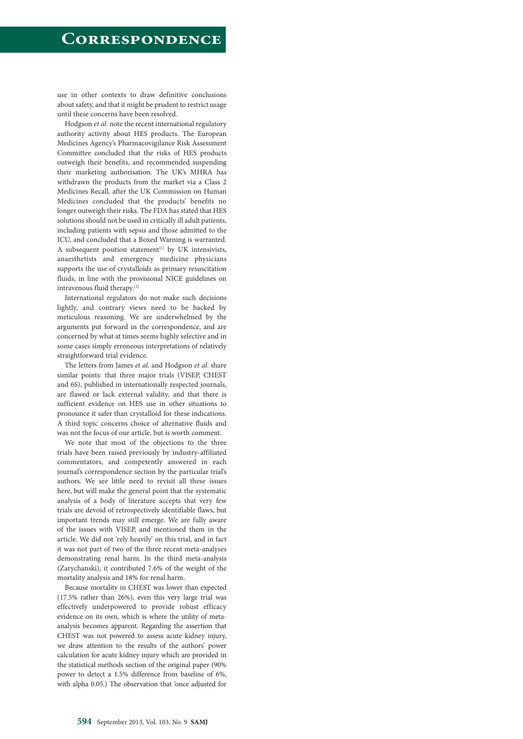use in other contexts to draw definitive conclusions about safety, and that it might be prudent to restrict usage until these concerns have been resolved.

Hodgson *et al*. note the recent international regulatory authority activity about HES products. The European Medicines Agency's Pharmacovigilance Risk Assessment Committee concluded that the risks of HES products outweigh their benefits, and recommended suspending their marketing authorisation. The UK's MHRA has withdrawn the products from the market via a Class 2 Medicines Recall, after the UK Commission on Human Medicines concluded that the products' benefits no longer outweigh their risks. The FDA has stated that HES solutions should not be used in critically ill adult patients, including patients with sepsis and those admitted to the ICU, and concluded that a Boxed Warning is warranted*.* A subsequent position statement $[1]$  by UK intensivists, anaesthetists and emergency medicine physicians supports the use of crystalloids as primary resuscitation fluids, in line with the provisional NICE guidelines on intravenous fluid therapy.[2]

International regulators do not make such decisions lightly, and contrary views need to be backed by meticulous reasoning. We are underwhelmed by the arguments put forward in the correspondence, and are concerned by what at times seems highly selective and in some cases simply erroneous interpretations of relatively straightforward trial evidence.

The letters from James *et al*. and Hodgson *et al*. share similar points: that three major trials (VISEP, CHEST and 6S), published in internationally respected journals, are flawed or lack external validity, and that there is sufficient evidence on HES use in other situations to pronounce it safer than crystalloid for these indications. A third topic concerns choice of alternative fluids and was not the focus of our article, but is worth comment.

We note that most of the objections to the three trials have been raised previously by industry-affiliated commentators, and competently answered in each journal's correspondence section by the particular trial's authors. We see little need to revisit all these issues here, but will make the general point that the systematic analysis of a body of literature accepts that very few trials are devoid of retrospectively identifiable flaws, but important trends may still emerge. We are fully aware of the issues with VISEP, and mentioned them in the article. We did not 'rely heavily' on this trial, and in fact it was not part of two of the three recent meta-analyses demonstrating renal harm. In the third meta-analysis (Zarychanski), it contributed 7.6% of the weight of the mortality analysis and 18% for renal harm.

Because mortality in CHEST was lower than expected (17.5% rather than 26%), even this very large trial was effectively underpowered to provide robust efficacy evidence on its own, which is where the utility of metaanalysis becomes apparent. Regarding the assertion that CHEST was not powered to assess acute kidney injury, we draw attention to the results of the authors' power calculation for acute kidney injury which are provided in the statistical methods section of the original paper (90% power to detect a 1.5% difference from baseline of 6%, with alpha 0.05.) The observation that 'once adjusted for